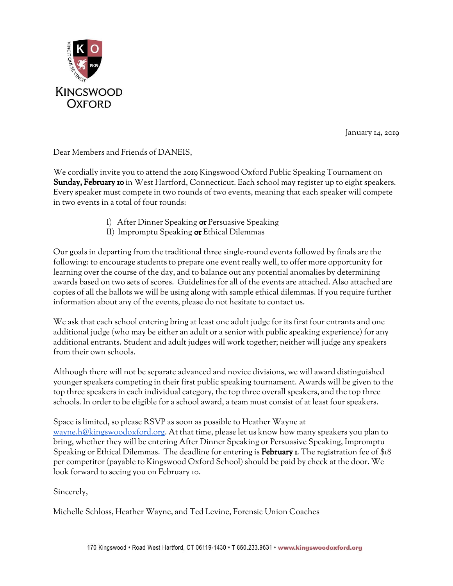

January 14, 2019

Dear Members and Friends of DANEIS,

We cordially invite you to attend the 2019 Kingswood Oxford Public Speaking Tournament on Sunday, February 10 in West Hartford, Connecticut. Each school may register up to eight speakers. Every speaker must compete in two rounds of two events, meaning that each speaker will compete in two events in a total of four rounds:

- I) After Dinner Speaking or Persuasive Speaking
- II) Impromptu Speaking or Ethical Dilemmas

Our goals in departing from the traditional three single-round events followed by finals are the following: to encourage students to prepare one event really well, to offer more opportunity for learning over the course of the day, and to balance out any potential anomalies by determining awards based on two sets of scores. Guidelines for all of the events are attached. Also attached are copies of all the ballots we will be using along with sample ethical dilemmas. If you require further information about any of the events, please do not hesitate to contact us.

We ask that each school entering bring at least one adult judge for its first four entrants and one additional judge (who may be either an adult or a senior with public speaking experience) for any additional entrants. Student and adult judges will work together; neither will judge any speakers from their own schools.

Although there will not be separate advanced and novice divisions, we will award distinguished younger speakers competing in their first public speaking tournament. Awards will be given to the top three speakers in each individual category, the top three overall speakers, and the top three schools. In order to be eligible for a school award, a team must consist of at least four speakers.

Space is limited, so please RSVP as soon as possible to Heather Wayne at [wayne.h@kingswoodoxford.org.](mailto:wayne.h@kingswoodoxford.org) At that time, please let us know how many speakers you plan to bring, whether they will be entering After Dinner Speaking or Persuasive Speaking, Impromptu Speaking or Ethical Dilemmas. The deadline for entering is **February 1.** The registration fee of  $$18$ per competitor (payable to Kingswood Oxford School) should be paid by check at the door. We look forward to seeing you on February 10.

Sincerely,

Michelle Schloss, Heather Wayne, and Ted Levine, Forensic Union Coaches